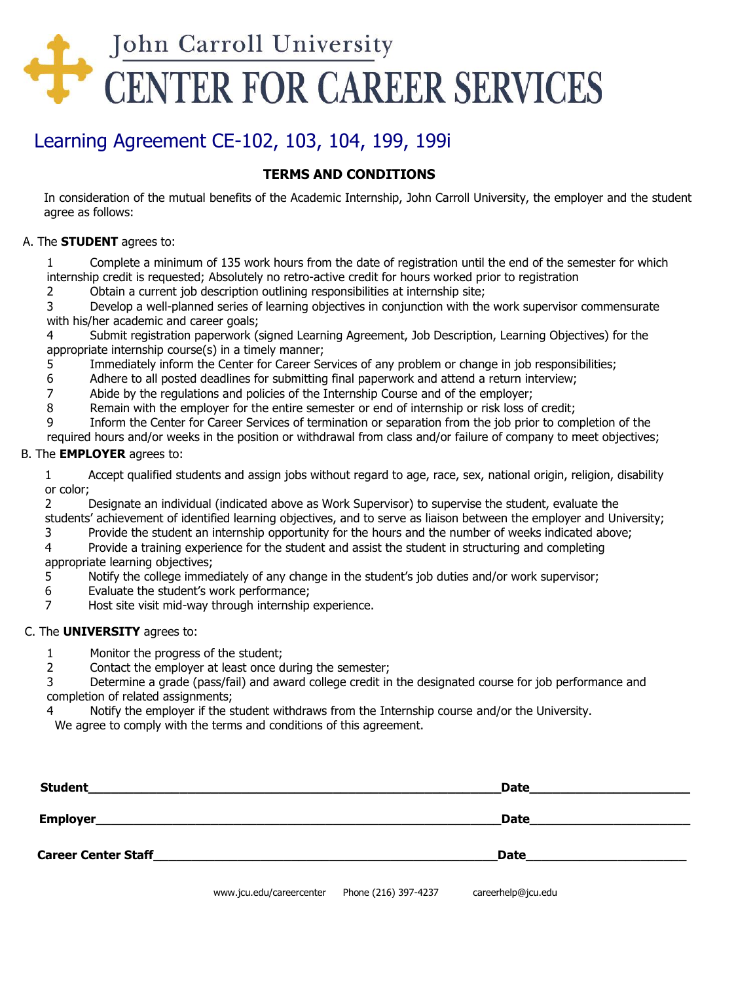

# Learning Agreement CE-102, 103, 104, 199, 199i

## **TERMS AND CONDITIONS**

In consideration of the mutual benefits of the Academic Internship, John Carroll University, the employer and the student agree as follows:

#### A. The **STUDENT** agrees to:

1 Complete a minimum of 135 work hours from the date of registration until the end of the semester for which internship credit is requested; Absolutely no retro-active credit for hours worked prior to registration

2 Obtain a current job description outlining responsibilities at internship site;

3 Develop a well-planned series of learning objectives in conjunction with the work supervisor commensurate with his/her academic and career goals;

4 Submit registration paperwork (signed Learning Agreement, Job Description, Learning Objectives) for the appropriate internship course(s) in a timely manner;

- 5 Immediately inform the Center for Career Services of any problem or change in job responsibilities;
- 6 Adhere to all posted deadlines for submitting final paperwork and attend a return interview;
- 7 Abide by the regulations and policies of the Internship Course and of the employer;
- 8 Remain with the employer for the entire semester or end of internship or risk loss of credit;

9 Inform the Center for Career Services of termination or separation from the job prior to completion of the

required hours and/or weeks in the position or withdrawal from class and/or failure of company to meet objectives;

### B. The **EMPLOYER** agrees to:

1 Accept qualified students and assign jobs without regard to age, race, sex, national origin, religion, disability or color;

2 Designate an individual (indicated above as Work Supervisor) to supervise the student, evaluate the students' achievement of identified learning objectives, and to serve as liaison between the employer and University;

3 Provide the student an internship opportunity for the hours and the number of weeks indicated above;

4 Provide a training experience for the student and assist the student in structuring and completing appropriate learning objectives;

5 Notify the college immediately of any change in the student's job duties and/or work supervisor;

- 6 Evaluate the student's work performance;
- 7 Host site visit mid-way through internship experience.

#### C. The **UNIVERSITY** agrees to:

1 Monitor the progress of the student;

2 Contact the employer at least once during the semester;

3 Determine a grade (pass/fail) and award college credit in the designated course for job performance and completion of related assignments;

4 Notify the employer if the student withdraws from the Internship course and/or the University.

We agree to comply with the terms and conditions of this agreement.

| <b>Student</b>             |                          |                      | <b>Date</b>        |  |
|----------------------------|--------------------------|----------------------|--------------------|--|
| <b>Employer</b>            |                          |                      | <b>Date</b>        |  |
| <b>Career Center Staff</b> |                          |                      | <b>Date</b>        |  |
|                            | www.jcu.edu/careercenter | Phone (216) 397-4237 | careerhelp@jcu.edu |  |